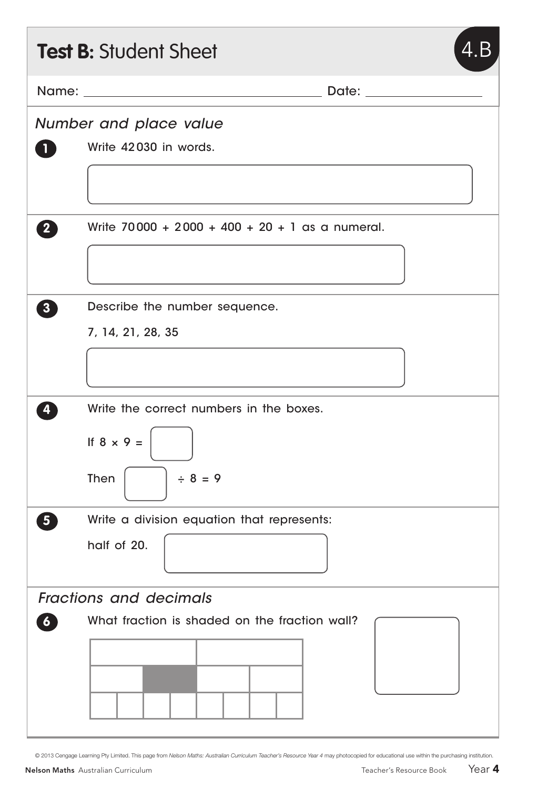|                               | <b>Test B: Student Sheet</b><br>4.B               |
|-------------------------------|---------------------------------------------------|
|                               |                                                   |
| Number and place value        |                                                   |
| $\mathbf{1}$                  | Write 42030 in words.                             |
|                               |                                                   |
| $\boxed{2}$                   | Write $70000 + 2000 + 400 + 20 + 1$ as a numeral. |
|                               |                                                   |
| $\boxed{3}$                   | Describe the number sequence.                     |
|                               | 7, 14, 21, 28, 35                                 |
|                               |                                                   |
| 4                             | Write the correct numbers in the boxes.           |
|                               | If $8 \times 9 =$                                 |
|                               | Then<br>$\div 8 = 9$                              |
| 5                             | Write a division equation that represents:        |
|                               | half of 20.                                       |
| <b>Fractions and decimals</b> |                                                   |
| $\boldsymbol{6}$              | What fraction is shaded on the fraction wall?     |
|                               |                                                   |
|                               |                                                   |
|                               |                                                   |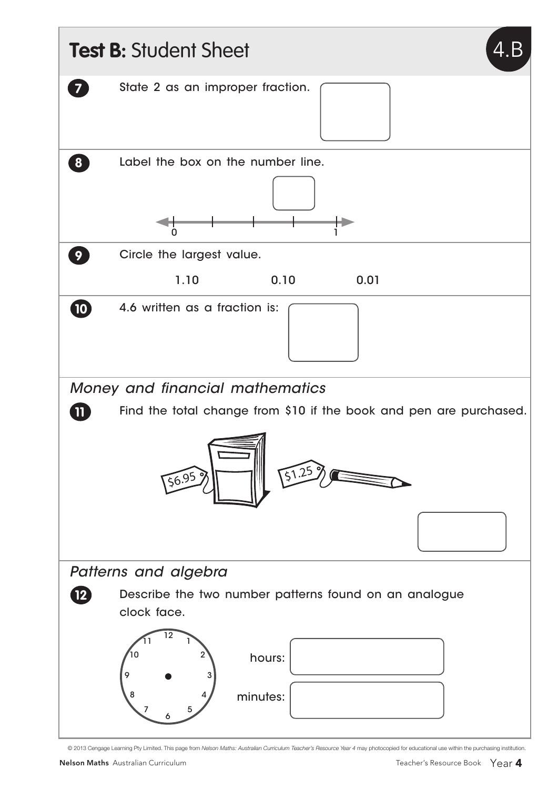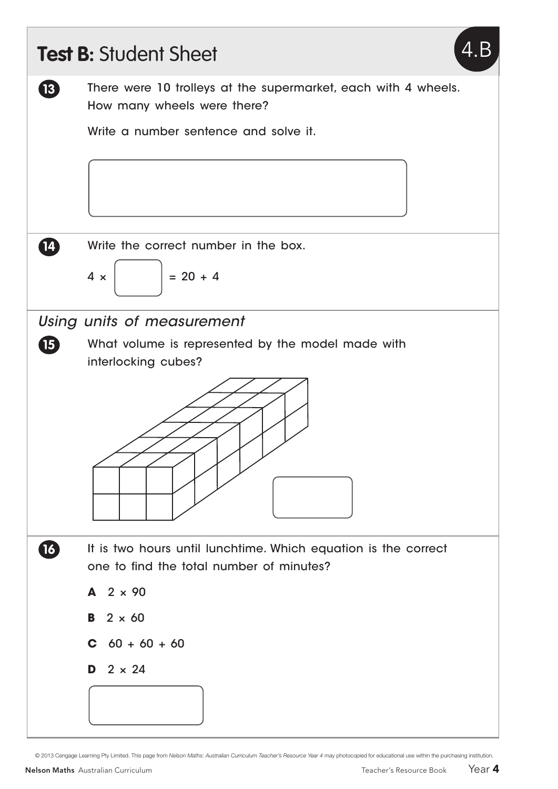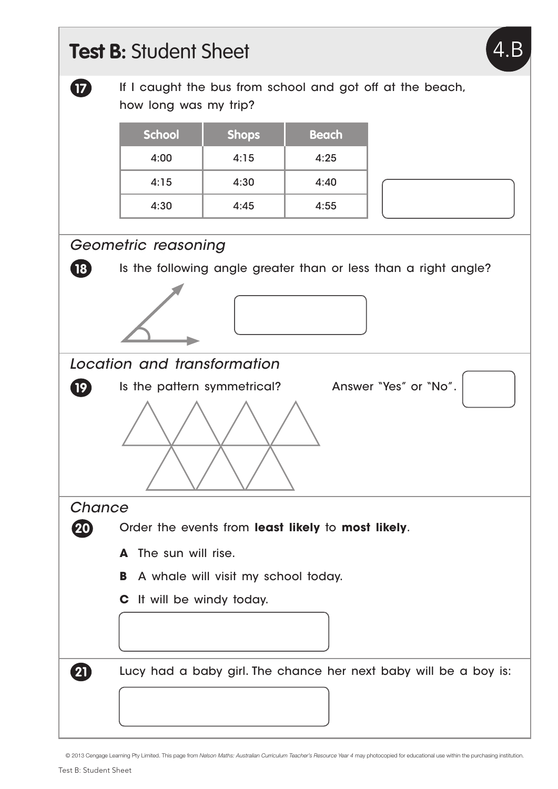